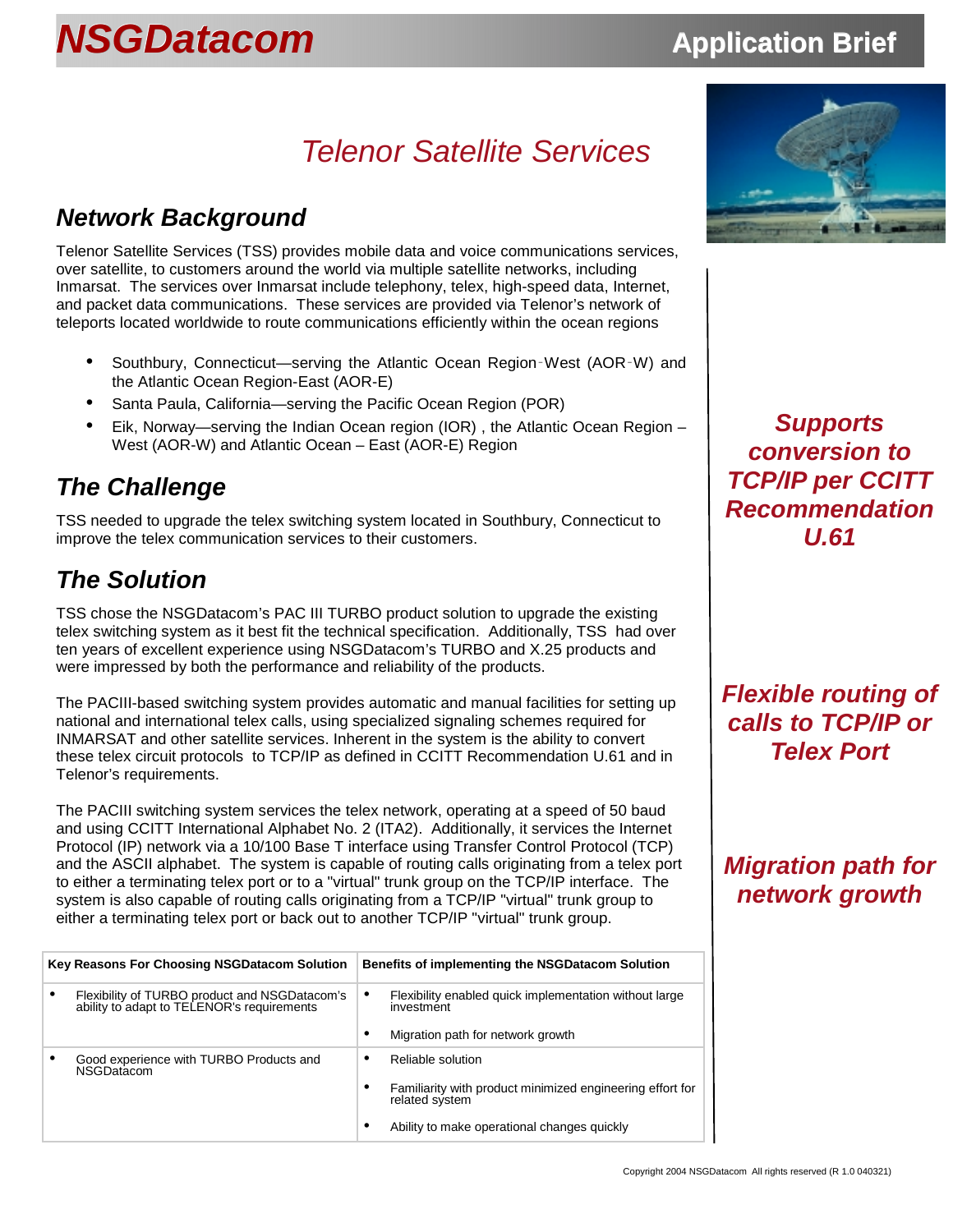## *Telenor Satellite Services*

### *Network Background*

Telenor Satellite Services (TSS) provides mobile data and voice communications services, over satellite, to customers around the world via multiple satellite networks, including Inmarsat. The services over Inmarsat include telephony, telex, high-speed data, Internet, and packet data communications. These services are provided via Telenor's network of teleports located worldwide to route communications efficiently within the ocean regions

- Southbury, Connecticut—serving the Atlantic Ocean Region‑West (AOR‑W) and the Atlantic Ocean Region-East (AOR-E)
- Santa Paula, California—serving the Pacific Ocean Region (POR)
- Eik, Norway—serving the Indian Ocean region (IOR) , the Atlantic Ocean Region West (AOR-W) and Atlantic Ocean – East (AOR-E) Region

### *The Challenge*

TSS needed to upgrade the telex switching system located in Southbury, Connecticut to improve the telex communication services to their customers.

### *The Solution*

TSS chose the NSGDatacom's PAC III TURBO product solution to upgrade the existing telex switching system as it best fit the technical specification. Additionally, TSS had over ten years of excellent experience using NSGDatacom's TURBO and X.25 products and were impressed by both the performance and reliability of the products.

The PACIII-based switching system provides automatic and manual facilities for setting up national and international telex calls, using specialized signaling schemes required for INMARSAT and other satellite services. Inherent in the system is the ability to convert these telex circuit protocols to TCP/IP as defined in CCITT Recommendation U.61 and in Telenor's requirements.

The PACIII switching system services the telex network, operating at a speed of 50 baud and using CCITT International Alphabet No. 2 (ITA2). Additionally, it services the Internet Protocol (IP) network via a 10/100 Base T interface using Transfer Control Protocol (TCP) and the ASCII alphabet. The system is capable of routing calls originating from a telex port to either a terminating telex port or to a "virtual" trunk group on the TCP/IP interface. The system is also capable of routing calls originating from a TCP/IP "virtual" trunk group to either a terminating telex port or back out to another TCP/IP "virtual" trunk group.

| <b>Key Reasons For Choosing NSGDatacom Solution</b> |                                                                                             | Benefits of implementing the NSGDatacom Solution |                                                                             |  |
|-----------------------------------------------------|---------------------------------------------------------------------------------------------|--------------------------------------------------|-----------------------------------------------------------------------------|--|
| $\bullet$                                           | Flexibility of TURBO product and NSGDatacom's<br>ability to adapt to TELENOR's requirements | ٠                                                | Flexibility enabled quick implementation without large<br>investment        |  |
|                                                     |                                                                                             |                                                  | Migration path for network growth                                           |  |
| $\bullet$                                           | Good experience with TURBO Products and<br><b>NSGDatacom</b>                                | ٠                                                | Reliable solution                                                           |  |
|                                                     |                                                                                             |                                                  | Familiarity with product minimized engineering effort for<br>related svstem |  |
|                                                     |                                                                                             | ٠                                                | Ability to make operational changes quickly                                 |  |



*Supports conversion to TCP/IP per CCITT Recommendation U.61* 

*Flexible routing of calls to TCP/IP or Telex Port* 

### *Migration path for network growth*